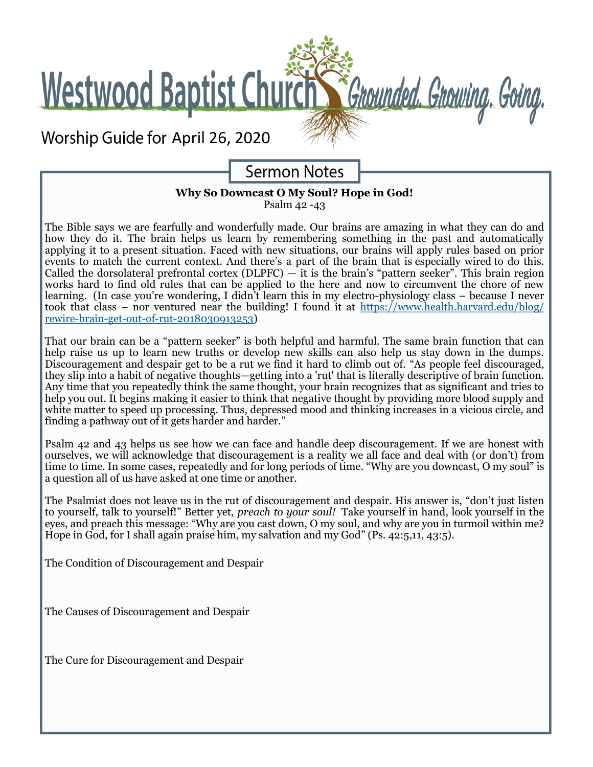**Westwood Baptist Church** 

Worship Guide for April 26, 2020

# **Sermon Notes**

Grounded. Growing. Going.

#### **Why So Downcast O My Soul? Hope in God!** Psalm 42 -43

The Bible says we are fearfully and wonderfully made. Our brains are amazing in what they can do and how they do it. The brain helps us learn by remembering something in the past and automatically applying it to a present situation. Faced with new situations, our brains will apply rules based on prior events to match the current context. And there's a part of the brain that is especially wired to do this. Called the dorsolateral prefrontal cortex (DLPFC)  $-$  it is the brain's "pattern seeker". This brain region works hard to find old rules that can be applied to the here and now to circumvent the chore of new learning. (In case you're wondering, I didn't learn this in my electro-physiology class – because I never took that class – nor ventured near the building! I found it at [https://www.health.harvard.edu/blog/](https://www.health.harvard.edu/blog/rewire-brain-get-out-of-rut-2018030913253) rewire-brain-get-out-of-rut-[2018030913253\)](https://www.health.harvard.edu/blog/rewire-brain-get-out-of-rut-2018030913253)

That our brain can be a "pattern seeker" is both helpful and harmful. The same brain function that can help raise us up to learn new truths or develop new skills can also help us stay down in the dumps. Discouragement and despair get to be a rut we find it hard to climb out of. "As people feel discouraged, they slip into a habit of negative thoughts—getting into a 'rut' that is literally descriptive of brain function. Any time that you repeatedly think the same thought, your brain recognizes that as significant and tries to help you out. It begins making it easier to think that negative thought by providing more blood supply and white matter to speed up processing. Thus, depressed mood and thinking increases in a vicious circle, and finding a pathway out of it gets harder and harder."

Psalm 42 and 43 helps us see how we can face and handle deep discouragement. If we are honest with ourselves, we will acknowledge that discouragement is a reality we all face and deal with (or don't) from time to time. In some cases, repeatedly and for long periods of time. "Why are you downcast, O my soul" is a question all of us have asked at one time or another.

The Psalmist does not leave us in the rut of discouragement and despair. His answer is, "don't just listen to yourself, talk to yourself!" Better yet, *preach to your soul!* Take yourself in hand, look yourself in the eyes, and preach this message: "Why are you cast down, O my soul, and why are you in turmoil within me? Hope in God, for I shall again praise him, my salvation and my God" (Ps. 42:5,[11,](https://biblia.com/bible/esv/Ps%2042.11) 43:5).

The Condition of Discouragement and Despair

The Causes of Discouragement and Despair

The Cure for Discouragement and Despair